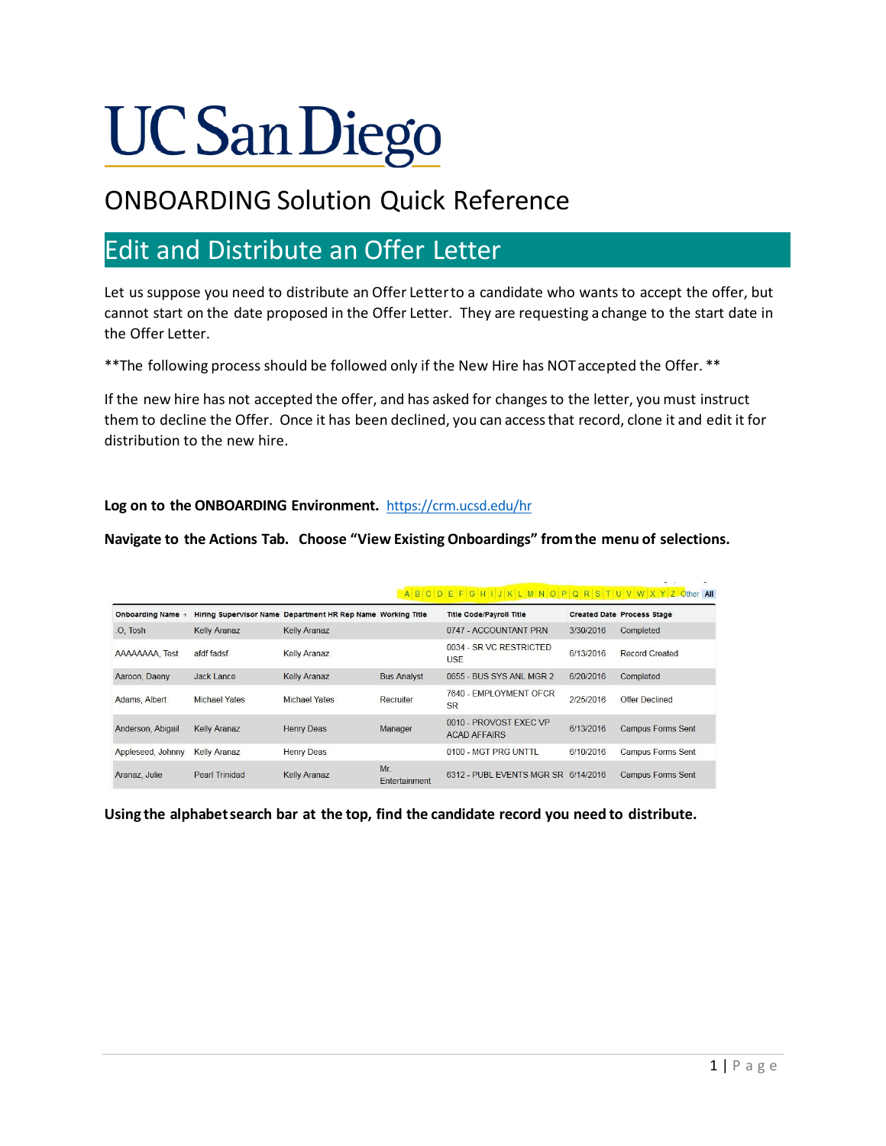# **UC San Diego**

## ONBOARDING Solution Quick Reference

### Edit and Distribute an Offer Letter

Let us suppose you need to distribute an Offer Letterto a candidate who wants to accept the offer, but cannot start on the date proposed in the Offer Letter. They are requesting achange to the start date in the Offer Letter.

\*\*The following process should be followed only if the New Hire has NOTaccepted the Offer. \*\*

If the new hire has not accepted the offer, and has asked for changesto the letter, you must instruct them to decline the Offer. Once it has been declined, you can accessthat record, clone it and edit it for distribution to the new hire.

#### **Log on to the ONBOARDING Environment.** <https://crm.ucsd.edu/hr>

#### **Navigate to the Actions Tab. Choose "View Existing Onboardings" fromthe menu of selections.**

|                        |                       |                                                             |                     | ABCDEFGHIJKLMNOPQRSTUVWXYZOther All           |           | $-$                               |
|------------------------|-----------------------|-------------------------------------------------------------|---------------------|-----------------------------------------------|-----------|-----------------------------------|
| <b>Onboarding Name</b> |                       | Hiring Supervisor Name Department HR Rep Name Working Title |                     | <b>Title Code/Payroll Title</b>               |           | <b>Created Date Process Stage</b> |
| O. Tosh                | <b>Kelly Aranaz</b>   | <b>Kelly Aranaz</b>                                         |                     | 0747 - ACCOUNTANT PRN                         | 3/30/2016 | Completed                         |
| AAAAAAAA. Test         | afdf fadsf            | Kelly Aranaz                                                |                     | 0034 - SR VC RESTRICTED<br>USE                | 6/13/2016 | Record Created                    |
| Aaroon, Daeny          | <b>Jack Lance</b>     | <b>Kelly Aranaz</b>                                         | <b>Bus Analyst</b>  | 0655 - BUS SYS ANL MGR 2                      | 6/20/2016 | Completed                         |
| Adams, Albert          | Michael Yates         | Michael Yates                                               | Recruiter           | 7640 - EMPLOYMENT OFCR<br><b>SR</b>           | 2/25/2016 | Offer Declined                    |
| Anderson, Abigail      | <b>Kelly Aranaz</b>   | <b>Henry Deas</b>                                           | Manager             | 0010 - PROVOST FXFC VP<br><b>ACAD AFFAIRS</b> | 6/13/2016 | <b>Campus Forms Sent</b>          |
| Appleseed, Johnny      | Kelly Aranaz          | Henry Deas                                                  |                     | 0100 - MGT PRG UNTTL                          | 6/10/2016 | Campus Forms Sent                 |
| Aranaz, Julie          | <b>Pearl Trinidad</b> | <b>Kelly Aranaz</b>                                         | Mr<br>Entertainment | 6312 - PUBL EVENTS MGR SR 6/14/2016           |           | <b>Campus Forms Sent</b>          |

**Using the alphabetsearch bar at the top, find the candidate record you need to distribute.**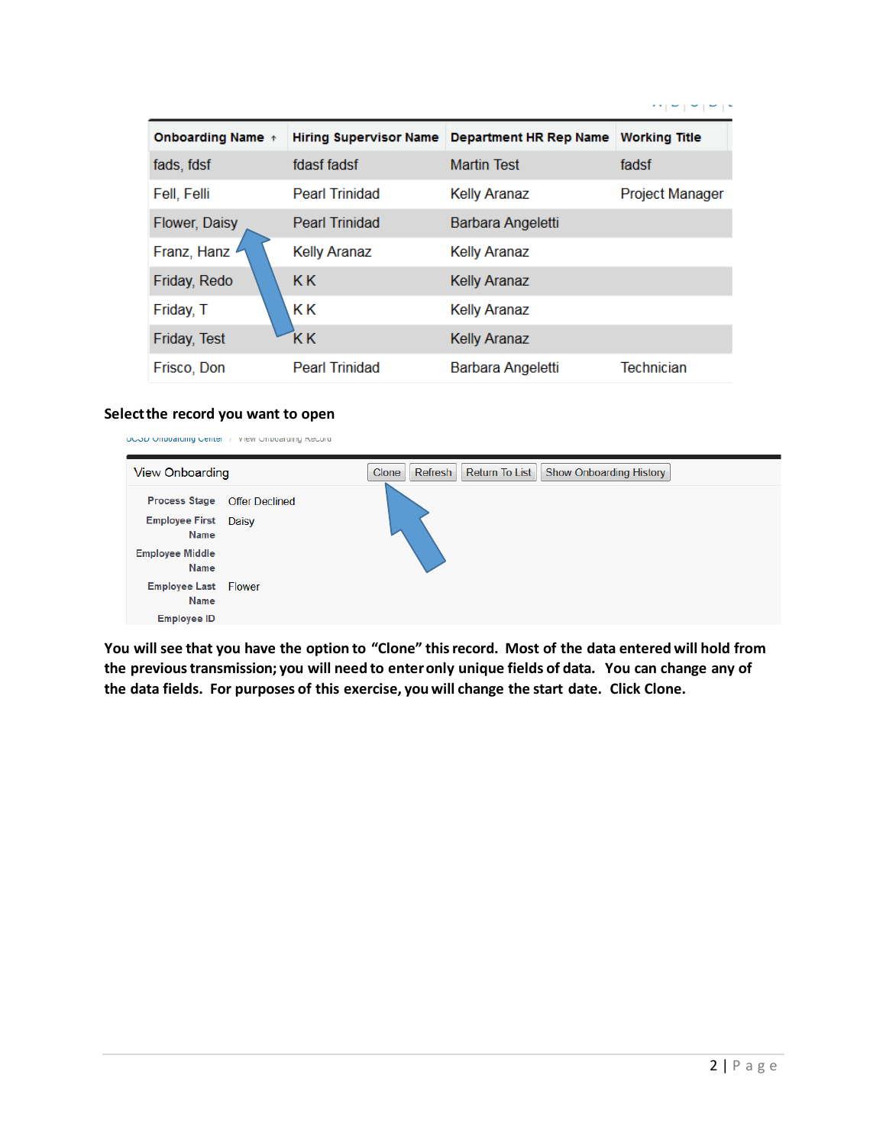| <b>Onboarding Name</b> + | <b>Hiring Supervisor Name</b> | Department HR Rep Name | <b>Working Title</b>   |
|--------------------------|-------------------------------|------------------------|------------------------|
| fads, fdsf               | fdasf fadsf                   | <b>Martin Test</b>     | fadsf                  |
| Fell, Felli              | <b>Pearl Trinidad</b>         | <b>Kelly Aranaz</b>    | <b>Project Manager</b> |
| Flower, Daisy            | <b>Pearl Trinidad</b>         | Barbara Angeletti      |                        |
| Franz, Hanz              | <b>Kelly Aranaz</b>           | <b>Kelly Aranaz</b>    |                        |
| Friday, Redo             | K K                           | <b>Kelly Aranaz</b>    |                        |
| Friday, T                | K K                           | <b>Kelly Aranaz</b>    |                        |
| Friday, Test             | ΚK                            | <b>Kelly Aranaz</b>    |                        |
| Frisco, Don              | <b>Pearl Trinidad</b>         | Barbara Angeletti      | Technician             |

#### **Selectthe record you want to open**

| OCOD Official dirig Center / View Official dirig Record                                       |                       |                                                                      |
|-----------------------------------------------------------------------------------------------|-----------------------|----------------------------------------------------------------------|
| <b>View Onboarding</b>                                                                        |                       | Return To List<br><b>Show Onboarding History</b><br>Refresh<br>Clone |
| <b>Process Stage</b><br><b>Employee First Daisy</b><br>Name<br><b>Employee Middle</b><br>Name | <b>Offer Declined</b> |                                                                      |
| <b>Employee Last Flower</b><br>Name<br><b>Employee ID</b>                                     |                       |                                                                      |

You will see that you have the option to "Clone" this record. Most of the data entered will hold from **the previoustransmission; you will need to enteronly unique fields of data. You can change any of the data fields. For purposes of this exercise, you will change the start date. Click Clone.**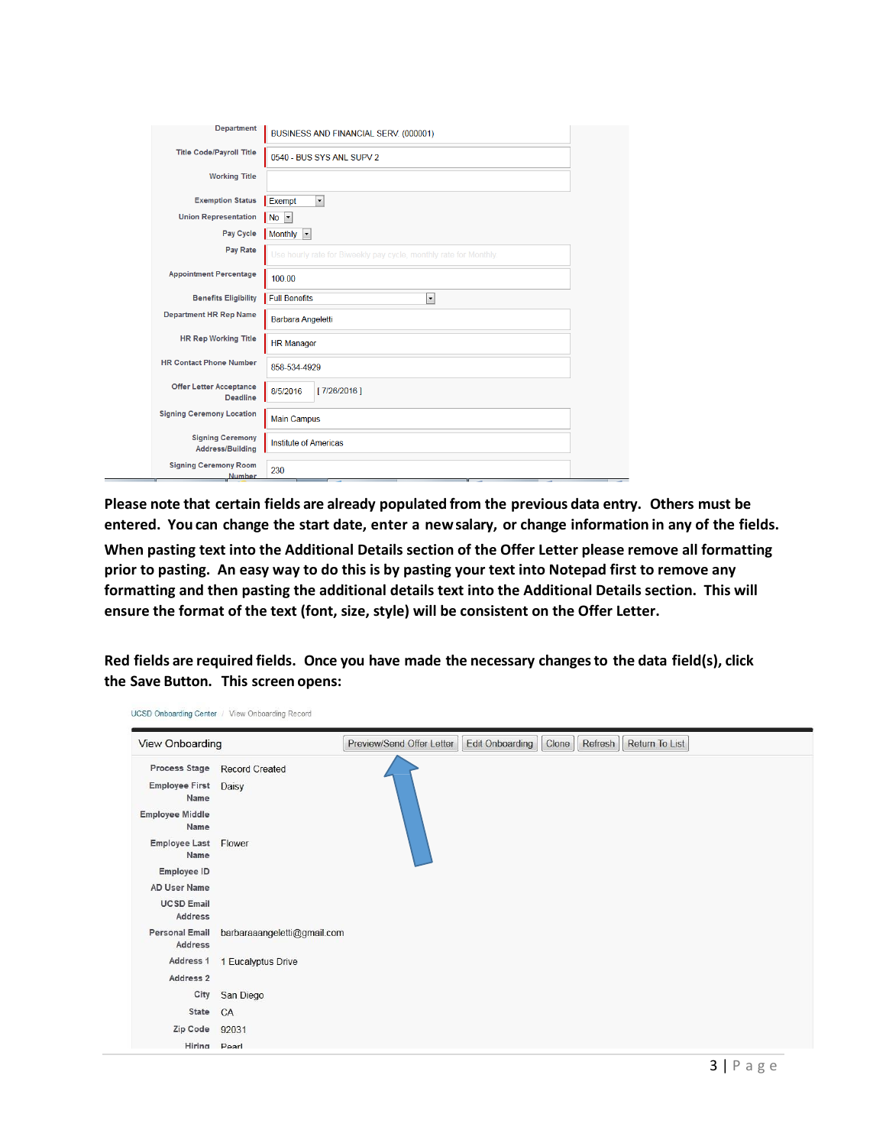| <b>Department</b>                                 | BUSINESS AND FINANCIAL SERV. (000001)                             |  |
|---------------------------------------------------|-------------------------------------------------------------------|--|
| <b>Title Code/Payroll Title</b>                   | 0540 - BUS SYS ANL SUPV 2                                         |  |
| <b>Working Title</b>                              |                                                                   |  |
| <b>Exemption Status</b>                           | $\overline{\phantom{a}}$<br>Exempt                                |  |
| <b>Union Representation</b>                       | No                                                                |  |
| Pay Cycle                                         | Monthly<br>$\vert \cdot \vert$                                    |  |
| Pay Rate                                          | Use hourly rate for Biweekly pay cycle, monthly rate for Monthly. |  |
| <b>Appointment Percentage</b>                     | 100.00                                                            |  |
| <b>Benefits Eligibility</b>                       | <b>Full Benefits</b><br>$\overline{\phantom{a}}$                  |  |
| <b>Department HR Rep Name</b>                     | <b>Barbara Angeletti</b>                                          |  |
| <b>HR Rep Working Title</b>                       | <b>HR Manager</b>                                                 |  |
| <b>HR Contact Phone Number</b>                    | 858-534-4929                                                      |  |
| <b>Offer Letter Acceptance</b><br><b>Deadline</b> | [7/26/2016]<br>8/5/2016                                           |  |
| <b>Signing Ceremony Location</b>                  | <b>Main Campus</b>                                                |  |
| <b>Signing Ceremony</b><br>Address/Building       | <b>Institute of Americas</b>                                      |  |
| <b>Signing Ceremony Room</b><br><b>Number</b>     | 230                                                               |  |

**Please note that certain fields are already populated from the previous data entry. Others must be** entered. You can change the start date, enter a new salary, or change information in any of the fields. **When pasting text into the Additional Details section of the Offer Letter please remove all formatting prior to pasting. An easy way to do this is by pasting your text into Notepad first to remove any formatting and then pasting the additional details text into the Additional Details section. This will ensure the format of the text (font, size, style) will be consistent on the Offer Letter.**

**Red fields are required fields. Once you have made the necessary changesto the data field(s), click the Save Button. This screen opens:**

| <b>View Onboarding</b>           |                              | Preview/Send Offer Letter | <b>Edit Onboarding</b> | Clone | Refresh | Return To List |
|----------------------------------|------------------------------|---------------------------|------------------------|-------|---------|----------------|
|                                  | Process Stage Record Created |                           |                        |       |         |                |
| <b>Employee First</b><br>Name    | Daisy                        |                           |                        |       |         |                |
| <b>Employee Middle</b><br>Name   |                              |                           |                        |       |         |                |
| Employee Last Flower<br>Name     |                              |                           |                        |       |         |                |
| Employee ID                      |                              |                           |                        |       |         |                |
| AD User Name                     |                              |                           |                        |       |         |                |
| <b>UCSD Email</b><br>Address     |                              |                           |                        |       |         |                |
| <b>Personal Email</b><br>Address | barbaraaangeletti@gmail.com  |                           |                        |       |         |                |
| Address 1                        | 1 Eucalyptus Drive           |                           |                        |       |         |                |
| Address 2                        |                              |                           |                        |       |         |                |
| City                             | San Diego                    |                           |                        |       |         |                |
| State                            | CA                           |                           |                        |       |         |                |
| Zip Code                         | 92031                        |                           |                        |       |         |                |
| Hiring Doarl                     |                              |                           |                        |       |         |                |